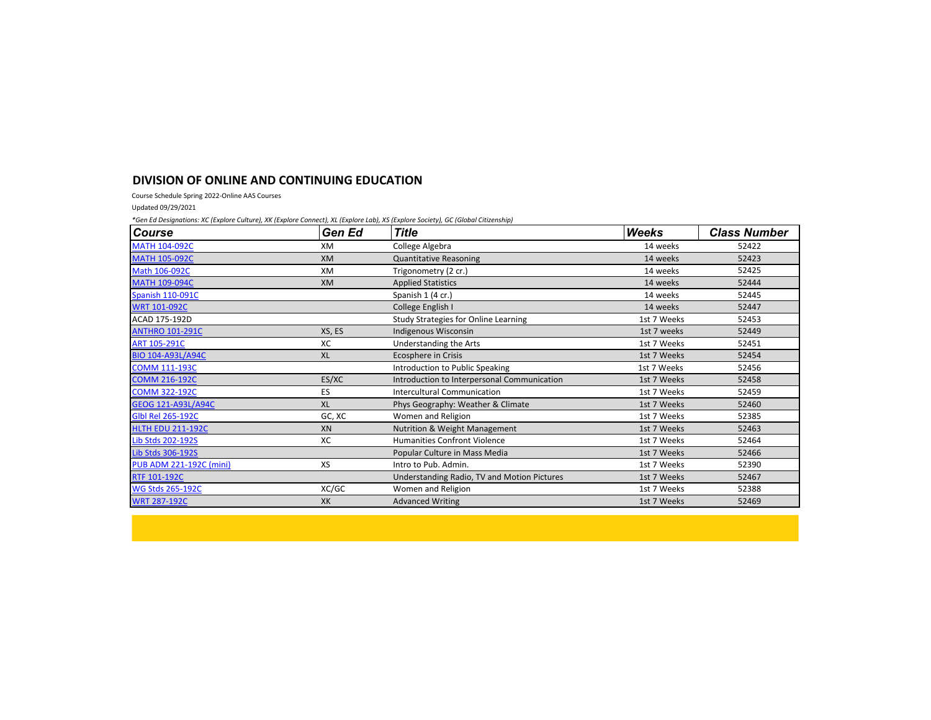## **DIVISION OF ONLINE AND CONTINUING EDUCATION**

Course Schedule Spring 2022-Online AAS Courses

Updated 09/29/2021

*\*Gen Ed Designations: XC (Explore Culture), XK (Explore Connect), XL (Explore Lab), XS (Explore Society), GC (Global Citizenship)*

| <b>Course</b>                  | Gen Ed    | <b>Title</b>                                | <b>Weeks</b> | <b>Class Number</b> |
|--------------------------------|-----------|---------------------------------------------|--------------|---------------------|
| <b>MATH 104-092C</b>           | XM        | College Algebra                             | 14 weeks     | 52422               |
| <b>MATH 105-092C</b>           | <b>XM</b> | <b>Quantitative Reasoning</b>               | 14 weeks     | 52423               |
| Math 106-092C                  | XM        | Trigonometry (2 cr.)                        | 14 weeks     | 52425               |
| <b>MATH 109-094C</b>           | <b>XM</b> | <b>Applied Statistics</b>                   | 14 weeks     | 52444               |
| Spanish 110-091C               |           | Spanish 1 (4 cr.)                           | 14 weeks     | 52445               |
| <b>WRT 101-092C</b>            |           | College English I                           | 14 weeks     | 52447               |
| ACAD 175-192D                  |           | Study Strategies for Online Learning        | 1st 7 Weeks  | 52453               |
| <b>ANTHRO 101-291C</b>         | XS, ES    | Indigenous Wisconsin                        | 1st 7 weeks  | 52449               |
| <b>ART 105-291C</b>            | XC        | Understanding the Arts                      | 1st 7 Weeks  | 52451               |
| <b>BIO 104-A93L/A94C</b>       | <b>XL</b> | Ecosphere in Crisis                         | 1st 7 Weeks  | 52454               |
| <b>COMM 111-193C</b>           |           | Introduction to Public Speaking             | 1st 7 Weeks  | 52456               |
| <b>COMM 216-192C</b>           | ES/XC     | Introduction to Interpersonal Communication | 1st 7 Weeks  | 52458               |
| <b>COMM 322-192C</b>           | ES        | Intercultural Communication                 | 1st 7 Weeks  | 52459               |
| <b>GEOG 121-A93L/A94C</b>      | <b>XL</b> | Phys Geography: Weather & Climate           | 1st 7 Weeks  | 52460               |
| <b>GIbl Rel 265-192C</b>       | GC, XC    | Women and Religion                          | 1st 7 Weeks  | 52385               |
| <b>HLTH EDU 211-192C</b>       | XN        | Nutrition & Weight Management               | 1st 7 Weeks  | 52463               |
| Lib Stds 202-192S              | хc        | <b>Humanities Confront Violence</b>         | 1st 7 Weeks  | 52464               |
| Lib Stds 306-192S              |           | Popular Culture in Mass Media               | 1st 7 Weeks  | 52466               |
| <b>PUB ADM 221-192C (mini)</b> | XS        | Intro to Pub. Admin.                        | 1st 7 Weeks  | 52390               |
| <b>RTF 101-192C</b>            |           | Understanding Radio, TV and Motion Pictures | 1st 7 Weeks  | 52467               |
| <b>WG Stds 265-192C</b>        | XC/GC     | Women and Religion                          | 1st 7 Weeks  | 52388               |
| <b>WRT 287-192C</b>            | XK        | <b>Advanced Writing</b>                     | 1st 7 Weeks  | 52469               |